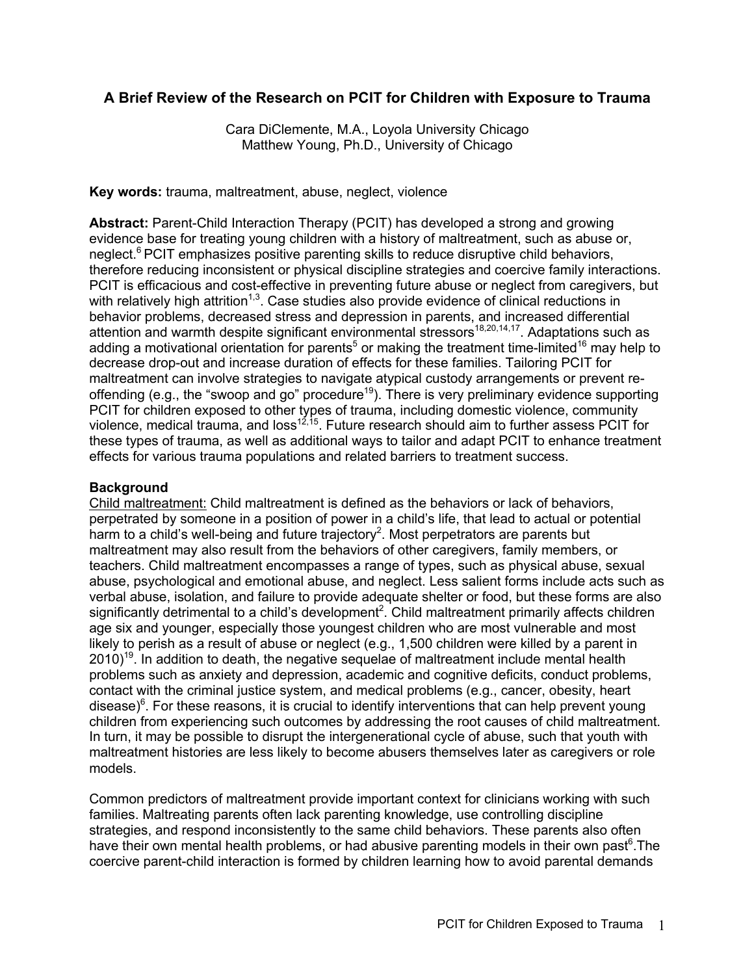# **A Brief Review of the Research on PCIT for Children with Exposure to Trauma**

Cara DiClemente, M.A., Loyola University Chicago Matthew Young, Ph.D., University of Chicago

**Key words:** trauma, maltreatment, abuse, neglect, violence

**Abstract:** Parent-Child Interaction Therapy (PCIT) has developed a strong and growing evidence base for treating young children with a history of maltreatment, such as abuse or, neglect.<sup>6</sup> PCIT emphasizes positive parenting skills to reduce disruptive child behaviors, therefore reducing inconsistent or physical discipline strategies and coercive family interactions. PCIT is efficacious and cost-effective in preventing future abuse or neglect from caregivers, but with relatively high attrition<sup>1,3</sup>. Case studies also provide evidence of clinical reductions in behavior problems, decreased stress and depression in parents, and increased differential attention and warmth despite significant environmental stressors<sup>18,20,14,17</sup>. Adaptations such as adding a motivational orientation for parents<sup>5</sup> or making the treatment time-limited<sup>16</sup> may help to decrease drop-out and increase duration of effects for these families. Tailoring PCIT for maltreatment can involve strategies to navigate atypical custody arrangements or prevent reoffending (e.g., the "swoop and go" procedure<sup>19</sup>). There is very preliminary evidence supporting PCIT for children exposed to other types of trauma, including domestic violence, community violence, medical trauma, and loss<sup>12,15</sup>. Future research should aim to further assess PCIT for these types of trauma, as well as additional ways to tailor and adapt PCIT to enhance treatment effects for various trauma populations and related barriers to treatment success.

# **Background**

Child maltreatment: Child maltreatment is defined as the behaviors or lack of behaviors, perpetrated by someone in a position of power in a child's life, that lead to actual or potential harm to a child's well-being and future trajectory<sup>2</sup>. Most perpetrators are parents but maltreatment may also result from the behaviors of other caregivers, family members, or teachers. Child maltreatment encompasses a range of types, such as physical abuse, sexual abuse, psychological and emotional abuse, and neglect. Less salient forms include acts such as verbal abuse, isolation, and failure to provide adequate shelter or food, but these forms are also significantly detrimental to a child's development<sup>2</sup>. Child maltreatment primarily affects children age six and younger, especially those youngest children who are most vulnerable and most likely to perish as a result of abuse or neglect (e.g., 1,500 children were killed by a parent in  $2010$ <sup>19</sup>. In addition to death, the negative sequelae of maltreatment include mental health problems such as anxiety and depression, academic and cognitive deficits, conduct problems, contact with the criminal justice system, and medical problems (e.g., cancer, obesity, heart disease)<sup>6</sup>. For these reasons, it is crucial to identify interventions that can help prevent young children from experiencing such outcomes by addressing the root causes of child maltreatment. In turn, it may be possible to disrupt the intergenerational cycle of abuse, such that youth with maltreatment histories are less likely to become abusers themselves later as caregivers or role models.

Common predictors of maltreatment provide important context for clinicians working with such families. Maltreating parents often lack parenting knowledge, use controlling discipline strategies, and respond inconsistently to the same child behaviors. These parents also often have their own mental health problems, or had abusive parenting models in their own past<sup>6</sup>.The coercive parent-child interaction is formed by children learning how to avoid parental demands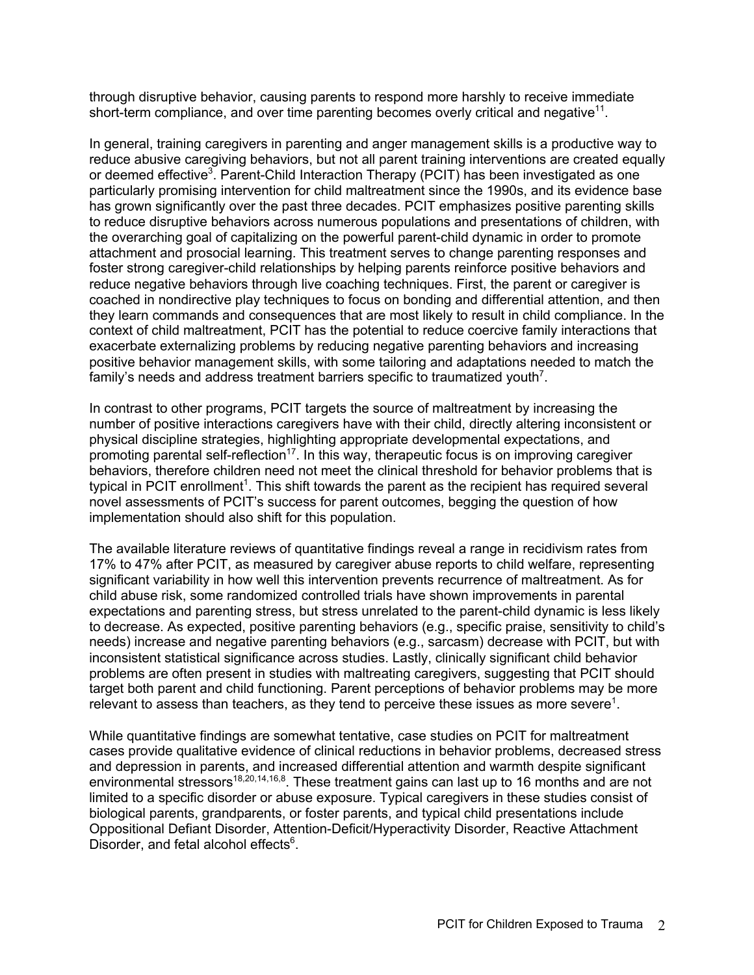through disruptive behavior, causing parents to respond more harshly to receive immediate short-term compliance, and over time parenting becomes overly critical and negative $11$ .

In general, training caregivers in parenting and anger management skills is a productive way to reduce abusive caregiving behaviors, but not all parent training interventions are created equally or deemed effective<sup>3</sup>. Parent-Child Interaction Therapy (PCIT) has been investigated as one particularly promising intervention for child maltreatment since the 1990s, and its evidence base has grown significantly over the past three decades. PCIT emphasizes positive parenting skills to reduce disruptive behaviors across numerous populations and presentations of children, with the overarching goal of capitalizing on the powerful parent-child dynamic in order to promote attachment and prosocial learning. This treatment serves to change parenting responses and foster strong caregiver-child relationships by helping parents reinforce positive behaviors and reduce negative behaviors through live coaching techniques. First, the parent or caregiver is coached in nondirective play techniques to focus on bonding and differential attention, and then they learn commands and consequences that are most likely to result in child compliance. In the context of child maltreatment, PCIT has the potential to reduce coercive family interactions that exacerbate externalizing problems by reducing negative parenting behaviors and increasing positive behavior management skills, with some tailoring and adaptations needed to match the family's needs and address treatment barriers specific to traumatized youth<sup>7</sup>.

In contrast to other programs, PCIT targets the source of maltreatment by increasing the number of positive interactions caregivers have with their child, directly altering inconsistent or physical discipline strategies, highlighting appropriate developmental expectations, and promoting parental self-reflection<sup>17</sup>. In this way, therapeutic focus is on improving caregiver behaviors, therefore children need not meet the clinical threshold for behavior problems that is typical in PCIT enrollment<sup>1</sup>. This shift towards the parent as the recipient has required several novel assessments of PCIT's success for parent outcomes, begging the question of how implementation should also shift for this population.

The available literature reviews of quantitative findings reveal a range in recidivism rates from 17% to 47% after PCIT, as measured by caregiver abuse reports to child welfare, representing significant variability in how well this intervention prevents recurrence of maltreatment. As for child abuse risk, some randomized controlled trials have shown improvements in parental expectations and parenting stress, but stress unrelated to the parent-child dynamic is less likely to decrease. As expected, positive parenting behaviors (e.g., specific praise, sensitivity to child's needs) increase and negative parenting behaviors (e.g., sarcasm) decrease with PCIT, but with inconsistent statistical significance across studies. Lastly, clinically significant child behavior problems are often present in studies with maltreating caregivers, suggesting that PCIT should target both parent and child functioning. Parent perceptions of behavior problems may be more relevant to assess than teachers, as they tend to perceive these issues as more severe<sup>1</sup>.

While quantitative findings are somewhat tentative, case studies on PCIT for maltreatment cases provide qualitative evidence of clinical reductions in behavior problems, decreased stress and depression in parents, and increased differential attention and warmth despite significant environmental stressors<sup>18,20,14,16,8</sup>. These treatment gains can last up to 16 months and are not limited to a specific disorder or abuse exposure. Typical caregivers in these studies consist of biological parents, grandparents, or foster parents, and typical child presentations include Oppositional Defiant Disorder, Attention-Deficit/Hyperactivity Disorder, Reactive Attachment Disorder, and fetal alcohol effects<sup>6</sup>.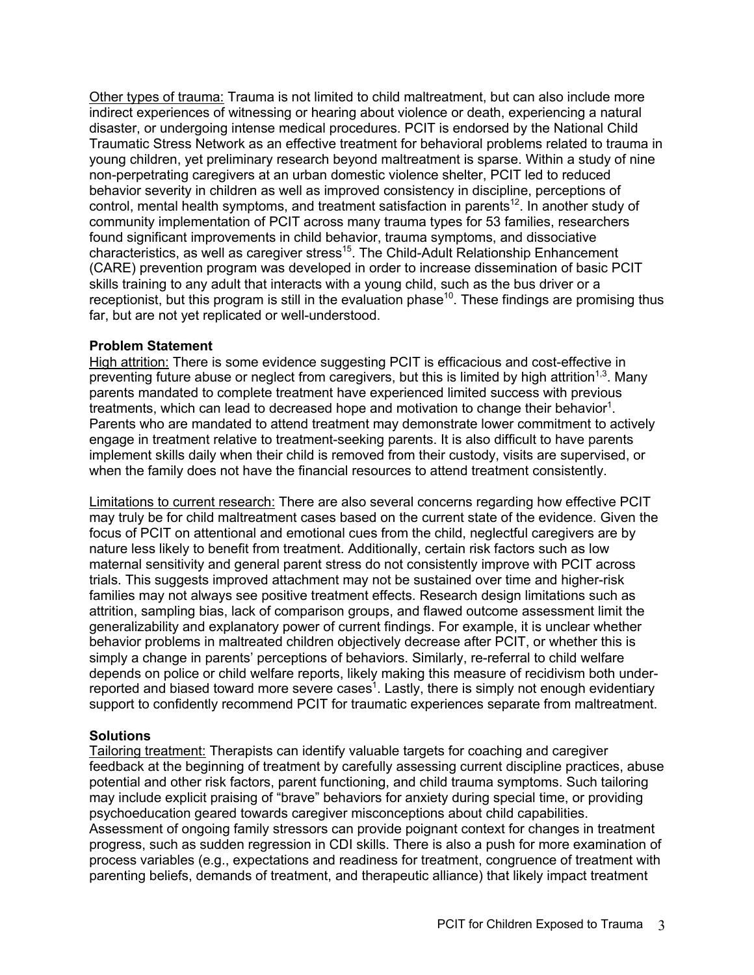Other types of trauma: Trauma is not limited to child maltreatment, but can also include more indirect experiences of witnessing or hearing about violence or death, experiencing a natural disaster, or undergoing intense medical procedures. PCIT is endorsed by the National Child Traumatic Stress Network as an effective treatment for behavioral problems related to trauma in young children, yet preliminary research beyond maltreatment is sparse. Within a study of nine non-perpetrating caregivers at an urban domestic violence shelter, PCIT led to reduced behavior severity in children as well as improved consistency in discipline, perceptions of control, mental health symptoms, and treatment satisfaction in parents<sup>12</sup>. In another study of community implementation of PCIT across many trauma types for 53 families, researchers found significant improvements in child behavior, trauma symptoms, and dissociative characteristics, as well as caregiver stress<sup>15</sup>. The Child-Adult Relationship Enhancement (CARE) prevention program was developed in order to increase dissemination of basic PCIT skills training to any adult that interacts with a young child, such as the bus driver or a receptionist, but this program is still in the evaluation phase<sup>10</sup>. These findings are promising thus far, but are not yet replicated or well-understood.

### **Problem Statement**

High attrition: There is some evidence suggesting PCIT is efficacious and cost-effective in preventing future abuse or neglect from caregivers, but this is limited by high attrition<sup>1,3</sup>. Many parents mandated to complete treatment have experienced limited success with previous treatments, which can lead to decreased hope and motivation to change their behavior<sup>1</sup>. Parents who are mandated to attend treatment may demonstrate lower commitment to actively engage in treatment relative to treatment-seeking parents. It is also difficult to have parents implement skills daily when their child is removed from their custody, visits are supervised, or when the family does not have the financial resources to attend treatment consistently.

Limitations to current research: There are also several concerns regarding how effective PCIT may truly be for child maltreatment cases based on the current state of the evidence. Given the focus of PCIT on attentional and emotional cues from the child, neglectful caregivers are by nature less likely to benefit from treatment. Additionally, certain risk factors such as low maternal sensitivity and general parent stress do not consistently improve with PCIT across trials. This suggests improved attachment may not be sustained over time and higher-risk families may not always see positive treatment effects. Research design limitations such as attrition, sampling bias, lack of comparison groups, and flawed outcome assessment limit the generalizability and explanatory power of current findings. For example, it is unclear whether behavior problems in maltreated children objectively decrease after PCIT, or whether this is simply a change in parents' perceptions of behaviors. Similarly, re-referral to child welfare depends on police or child welfare reports, likely making this measure of recidivism both underreported and biased toward more severe cases<sup>1</sup>. Lastly, there is simply not enough evidentiary support to confidently recommend PCIT for traumatic experiences separate from maltreatment.

# **Solutions**

Tailoring treatment: Therapists can identify valuable targets for coaching and caregiver feedback at the beginning of treatment by carefully assessing current discipline practices, abuse potential and other risk factors, parent functioning, and child trauma symptoms. Such tailoring may include explicit praising of "brave" behaviors for anxiety during special time, or providing psychoeducation geared towards caregiver misconceptions about child capabilities. Assessment of ongoing family stressors can provide poignant context for changes in treatment progress, such as sudden regression in CDI skills. There is also a push for more examination of process variables (e.g., expectations and readiness for treatment, congruence of treatment with parenting beliefs, demands of treatment, and therapeutic alliance) that likely impact treatment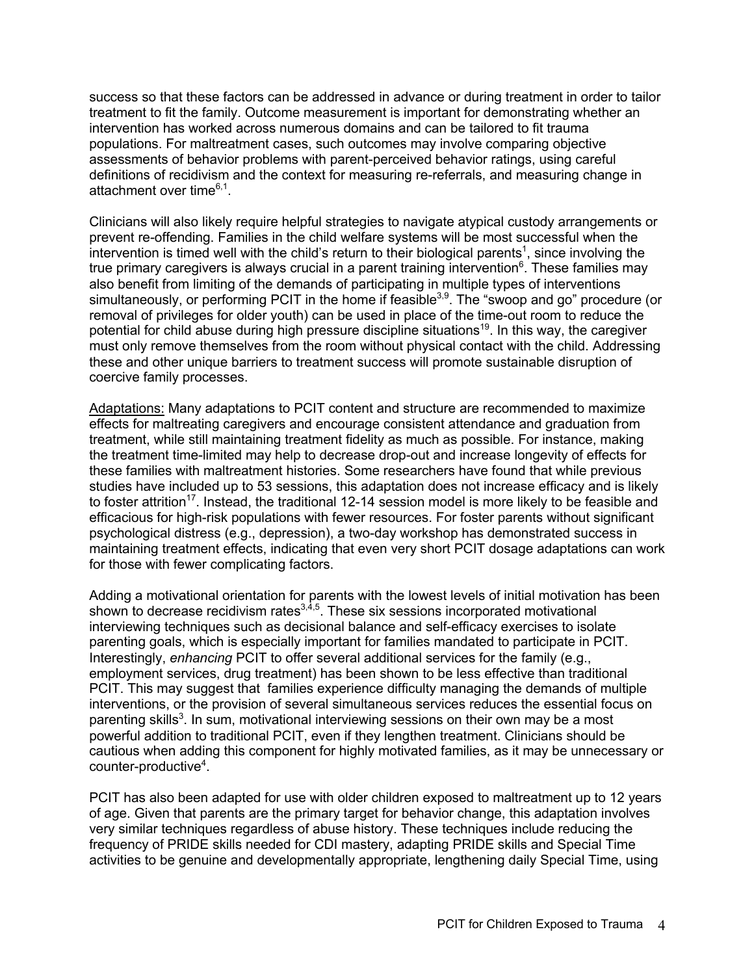success so that these factors can be addressed in advance or during treatment in order to tailor treatment to fit the family. Outcome measurement is important for demonstrating whether an intervention has worked across numerous domains and can be tailored to fit trauma populations. For maltreatment cases, such outcomes may involve comparing objective assessments of behavior problems with parent-perceived behavior ratings, using careful definitions of recidivism and the context for measuring re-referrals, and measuring change in attachment over time $6,1$ .

Clinicians will also likely require helpful strategies to navigate atypical custody arrangements or prevent re-offending. Families in the child welfare systems will be most successful when the intervention is timed well with the child's return to their biological parents<sup>1</sup>, since involving the true primary caregivers is always crucial in a parent training intervention<sup>6</sup>. These families may also benefit from limiting of the demands of participating in multiple types of interventions simultaneously, or performing PCIT in the home if feasible<sup>3,9</sup>. The "swoop and go" procedure (or removal of privileges for older youth) can be used in place of the time-out room to reduce the potential for child abuse during high pressure discipline situations<sup>19</sup>. In this way, the caregiver must only remove themselves from the room without physical contact with the child. Addressing these and other unique barriers to treatment success will promote sustainable disruption of coercive family processes.

Adaptations: Many adaptations to PCIT content and structure are recommended to maximize effects for maltreating caregivers and encourage consistent attendance and graduation from treatment, while still maintaining treatment fidelity as much as possible. For instance, making the treatment time-limited may help to decrease drop-out and increase longevity of effects for these families with maltreatment histories. Some researchers have found that while previous studies have included up to 53 sessions, this adaptation does not increase efficacy and is likely to foster attrition<sup>17</sup>. Instead, the traditional 12-14 session model is more likely to be feasible and efficacious for high-risk populations with fewer resources. For foster parents without significant psychological distress (e.g., depression), a two-day workshop has demonstrated success in maintaining treatment effects, indicating that even very short PCIT dosage adaptations can work for those with fewer complicating factors.

Adding a motivational orientation for parents with the lowest levels of initial motivation has been shown to decrease recidivism rates $^{3,4,5}$ . These six sessions incorporated motivational interviewing techniques such as decisional balance and self-efficacy exercises to isolate parenting goals, which is especially important for families mandated to participate in PCIT. Interestingly, *enhancing* PCIT to offer several additional services for the family (e.g., employment services, drug treatment) has been shown to be less effective than traditional PCIT. This may suggest that families experience difficulty managing the demands of multiple interventions, or the provision of several simultaneous services reduces the essential focus on parenting skills<sup>3</sup>. In sum, motivational interviewing sessions on their own may be a most powerful addition to traditional PCIT, even if they lengthen treatment. Clinicians should be cautious when adding this component for highly motivated families, as it may be unnecessary or counter-productive<sup>4</sup>.

PCIT has also been adapted for use with older children exposed to maltreatment up to 12 years of age. Given that parents are the primary target for behavior change, this adaptation involves very similar techniques regardless of abuse history. These techniques include reducing the frequency of PRIDE skills needed for CDI mastery, adapting PRIDE skills and Special Time activities to be genuine and developmentally appropriate, lengthening daily Special Time, using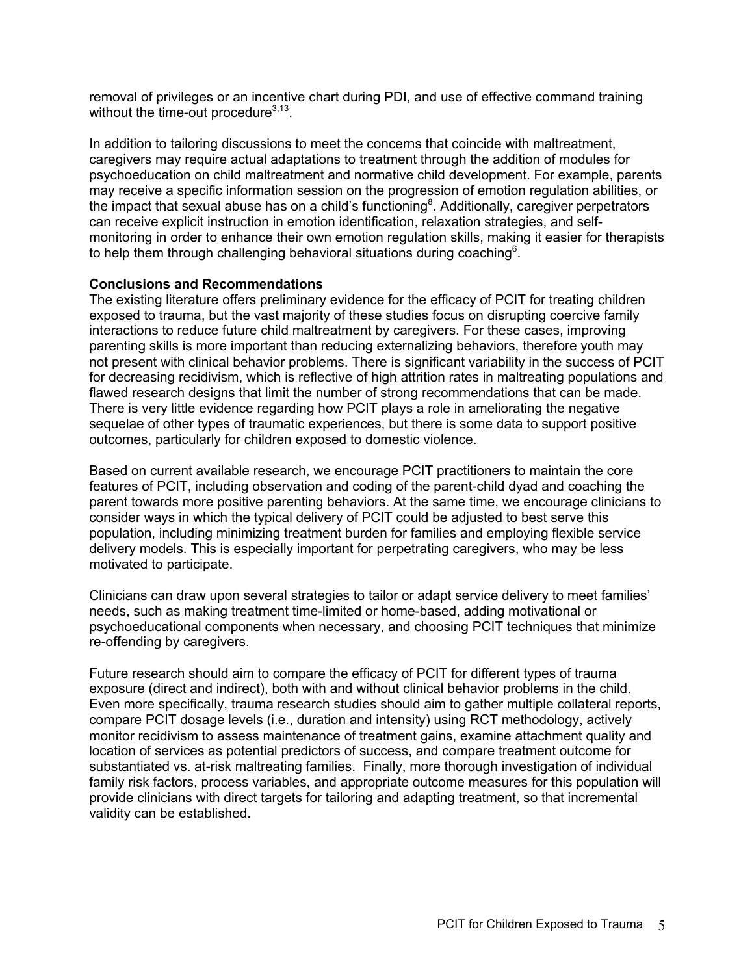removal of privileges or an incentive chart during PDI, and use of effective command training without the time-out procedure<sup>3,13</sup>.

In addition to tailoring discussions to meet the concerns that coincide with maltreatment, caregivers may require actual adaptations to treatment through the addition of modules for psychoeducation on child maltreatment and normative child development. For example, parents may receive a specific information session on the progression of emotion regulation abilities, or the impact that sexual abuse has on a child's functioning<sup>8</sup>. Additionally, caregiver perpetrators can receive explicit instruction in emotion identification, relaxation strategies, and selfmonitoring in order to enhance their own emotion regulation skills, making it easier for therapists to help them through challenging behavioral situations during coaching<sup>6</sup>.

### **Conclusions and Recommendations**

The existing literature offers preliminary evidence for the efficacy of PCIT for treating children exposed to trauma, but the vast majority of these studies focus on disrupting coercive family interactions to reduce future child maltreatment by caregivers. For these cases, improving parenting skills is more important than reducing externalizing behaviors, therefore youth may not present with clinical behavior problems. There is significant variability in the success of PCIT for decreasing recidivism, which is reflective of high attrition rates in maltreating populations and flawed research designs that limit the number of strong recommendations that can be made. There is very little evidence regarding how PCIT plays a role in ameliorating the negative sequelae of other types of traumatic experiences, but there is some data to support positive outcomes, particularly for children exposed to domestic violence.

Based on current available research, we encourage PCIT practitioners to maintain the core features of PCIT, including observation and coding of the parent-child dyad and coaching the parent towards more positive parenting behaviors. At the same time, we encourage clinicians to consider ways in which the typical delivery of PCIT could be adjusted to best serve this population, including minimizing treatment burden for families and employing flexible service delivery models. This is especially important for perpetrating caregivers, who may be less motivated to participate.

Clinicians can draw upon several strategies to tailor or adapt service delivery to meet families' needs, such as making treatment time-limited or home-based, adding motivational or psychoeducational components when necessary, and choosing PCIT techniques that minimize re-offending by caregivers.

Future research should aim to compare the efficacy of PCIT for different types of trauma exposure (direct and indirect), both with and without clinical behavior problems in the child. Even more specifically, trauma research studies should aim to gather multiple collateral reports, compare PCIT dosage levels (i.e., duration and intensity) using RCT methodology, actively monitor recidivism to assess maintenance of treatment gains, examine attachment quality and location of services as potential predictors of success, and compare treatment outcome for substantiated vs. at-risk maltreating families. Finally, more thorough investigation of individual family risk factors, process variables, and appropriate outcome measures for this population will provide clinicians with direct targets for tailoring and adapting treatment, so that incremental validity can be established.